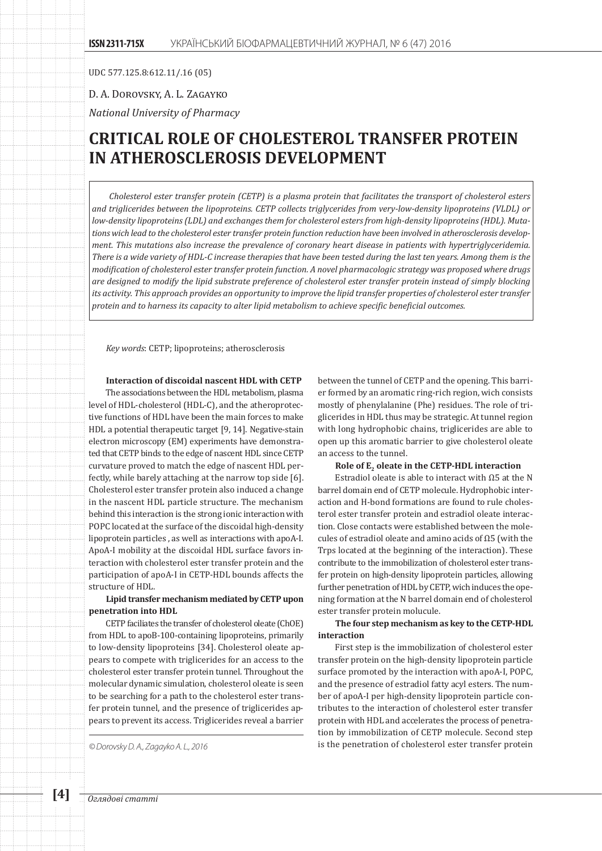UDC 577.125.8:612.11/.16 (05)

D. A. Dorovsky, A. L. Zagayko

*National University of Pharmacy*

# **CRITICAL ROLE OF CHOLESTEROL TRANSFER PROTEIN IN ATHEROSCLEROSIS DEVELOPMENT**

*Cholesterol ester transfer protein (CETP) is a plasma protein that facilitates the transport of cholesterol esters and triglicerides between the lipoproteins. CETP collects triglycerides from very-low-density lipoproteins (VLDL) or low-density lipoproteins (LDL) and exchanges them for cholesterol esters from high-density lipoproteins (HDL). Mutations wich lead to the cholesterol ester transfer protein function reduction have been involved in atherosclerosis development. This mutations also increase the prevalence of coronary heart disease in patients with hypertriglyceridemia. There is a wide variety of HDL-C increase therapies that have been tested during the last ten years. Among them is the modification of cholesterol ester transfer protein function. A novel pharmacologic strategy was proposed where drugs are designed to modify the lipid substrate preference of cholesterol ester transfer protein instead of simply blocking its activity. This approach provides an opportunity to improve the lipid transfer properties of cholesterol ester transfer protein and to harness its capacity to alter lipid metabolism to achieve specific beneficial outcomes.*

*Key words*: CETP; lipoproteins; atherosclerosis

## **Interaction of discoidal nascent HDL with CETP**

The associations between the HDL metabolism, plasma level of HDL-cholesterol (HDL-C), and the atheroprotective functions of HDL have been the main forces to make HDL a potential therapeutic target [9, 14]. Negative-stain electron microscopy (EM) experiments have demonstrated that CETP binds to the edge of nascent HDL since CETP curvature proved to match the edge of nascent HDL perfectly, while barely attaching at the narrow top side [6]. Cholesterol ester transfer protein also induced a change in the nascent HDL particle structure. The mechanism behind this interaction is the strong ionic interaction with POPC located at the surface of the discoidal high-density lipoprotein particles , as well as interactions with apoA-I. ApoA-I mobility at the discoidal HDL surface favors interaction with cholesterol ester transfer protein and the participation of apoA-I in CETP-HDL bounds affects the structure of HDL.

## **Lipid transfer mechanism mediated by CETP upon penetration into HDL**

CETP faciliates the transfer of cholesterol oleate (ChOE) from HDL to apoB-100-containing lipoproteins, primarily to low-density lipoproteins [34]. Cholesterol oleate appears to compete with triglicerides for an access to the cholesterol ester transfer protein tunnel. Throughout the molecular dynamic simulation, cholesterol oleate is seen to be searching for a path to the cholesterol ester transfer protein tunnel, and the presence of triglicerides appears to prevent its access. Triglicerides reveal a barrier

between the tunnel of CETP and the opening. This barrier formed by an aromatic ring-rich region, wich consists mostly of phenylalanine (Phe) residues. The role of triglicerides in HDL thus may be strategic. At tunnel region with long hydrophobic chains, triglicerides are able to open up this aromatic barrier to give cholesterol oleate an access to the tunnel.

#### Role of E<sub>2</sub> oleate in the CETP-HDL interaction

Estradiol oleate is able to interact with Ω5 at the N barrel domain end of CETP molecule. Hydrophobic interaction and H-bond formations are found to rule cholesterol ester transfer protein and estradiol oleate interaction. Close contacts were established between the molecules of estradiol oleate and amino acids of Ω5 (with the Trps located at the beginning of the interaction). These contribute to the immobilization of cholesterol ester transfer protein on high-density lipoprotein particles, allowing further penetration of HDL by CETP, wich induces the opening formation at the N barrel domain end of cholesterol ester transfer protein molucule.

### **The four step mechanism as key to the CETP-HDL interaction**

First step is the immobilization of cholesterol ester transfer protein on the high-density lipoprotein particle surface promoted by the interaction with apoA-I, POPC, and the presence of estradiol fatty acyl esters. The number of apoA-I per high-density lipoprotein particle contributes to the interaction of cholesterol ester transfer protein with HDL and accelerates the process of penetration by immobilization of CETP molecule. Second step *© Dorovsky D. A., Zagayko A. L., 2016* is the penetration of cholesterol ester transfer protein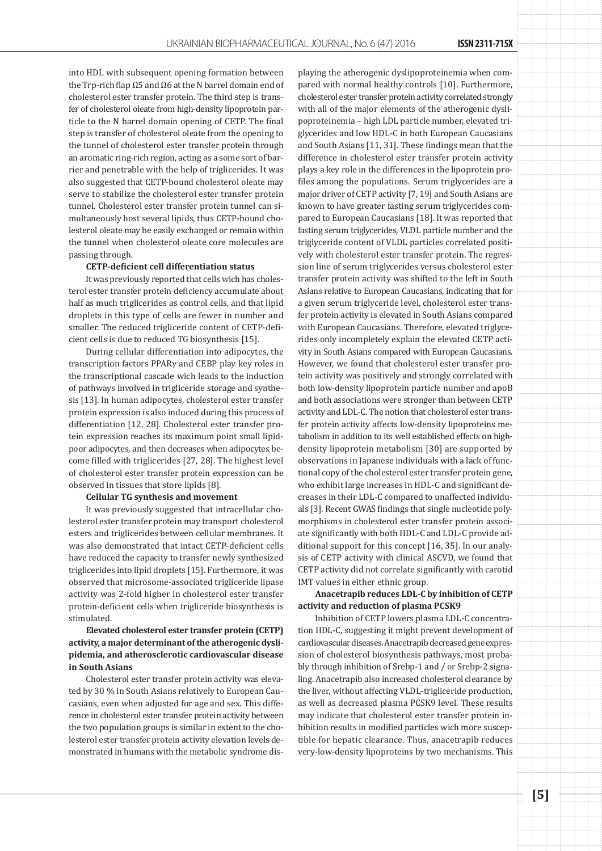into HDL with subsequent opening formation between the Trp-rich flap Ω5 and Ω6 at the N barrel domain end of cholesterol ester transfer protein. The third step is transfer of cholesterol oleate from high-density lipoprotein particle to the N barrel domain opening of CETP. The final step is transfer of cholesterol oleate from the opening to the tunnel of cholesterol ester transfer protein through an aromatic ring-rich region, acting as a some sort of barrier and penetrable with the help of triglicerides. It was also suggested that CETP-bound cholesterol oleate may serve to stabilize the cholesterol ester transfer protein tunnel. Cholesterol ester transfer protein tunnel can simultaneously host several lipids, thus CETP-bound cholesterol oleate may be easily exchanged or remain within the tunnel when cholesterol oleate core molecules are passing through.

#### **CETP-deficient cell differentiation status**

It was previously reported that cells wich has cholesterol ester transfer protein deficiency accumulate about half as much triglicerides as control cells, and that lipid droplets in this type of cells are fewer in number and smaller. The reduced trigliceride content of CETP-deficient cells is due to reduced TG biosynthesis [15].

During cellular differentiation into adipocytes, the transcription factors PPARγ and CEBP play key roles in the transcriptional cascade wich leads to the induction of pathways involved in trigliceride storage and synthesis [13]. In human adipocytes, cholesterol ester transfer protein expression is also induced during this process of differentiation [12, 28]. Cholesterol ester transfer protein expression reaches its maximum point small lipidpoor adipocytes, and then decreases when adipocytes become filled with triglicerides [27, 28]. The highest level of cholesterol ester transfer protein expression can be observed in tissues that store lipids [8].

#### **Cellular TG synthesis and movement**

It was previously suggested that intracellular cholesterol ester transfer protein may transport cholesterol esters and triglicerides between cellular membranes. It was also demonstrated that intact CETP-deficient cells have reduced the capacity to transfer newly synthesized triglicerides into lipid droplets [15]. Furthermore, it was observed that microsome-associated trigliceride lipase activity was 2-fold higher in cholesterol ester transfer protein-deficient cells when trigliceride biosynthesis is stimulated.

# **Elevated cholesterol ester transfer protein (CETP) activity, a major determinant of the atherogenic dyslipidemia, and atherosclerotic cardiovascular disease in South Asians**

Cholesterol ester transfer protein activity was elevated by 30 % in South Asians relatively to European Caucasians, even when adjusted for age and sex. This difference in cholesterol ester transfer protein activity between the two population groups is similar in extent to the cholesterol ester transfer protein activity elevation levels demonstrated in humans with the metabolic syndrome displaying the atherogenic dyslipoproteinemia when compared with normal healthy controls [10]. Furthermore, cholesterol ester transfer protein activity correlated strongly with all of the major elements of the atherogenic dyslipoproteinemia – high LDL particle number, elevated triglycerides and low HDL-C in both European Caucasians and South Asians [11, 31]. These findings mean that the difference in cholesterol ester transfer protein activity plays a key role in the differences in the lipoprotein profiles among the populations. Serum triglycerides are a major driver of CETP activity [7, 19] and South Asians are known to have greater fasting serum triglycerides compared to European Caucasians [18]. It was reported that fasting serum triglycerides, VLDL particle number and the triglyceride content of VLDL particles correlated positively with cholesterol ester transfer protein. The regression line of serum triglycerides versus cholesterol ester transfer protein activity was shifted to the left in South Asians relative to European Caucasians, indicating that for a given serum triglyceride level, cholesterol ester transfer protein activity is elevated in South Asians compared with European Caucasians. Therefore, elevated triglycerides only incompletely explain the elevated CETP activity in South Asians compared with European Caucasians. However, we found that cholesterol ester transfer protein activity was positively and strongly correlated with both low-density lipoprotein particle number and apoB and both associations were stronger than between CETP activity and LDL-C. The notion that cholesterol ester transfer protein activity affects low-density lipoproteins metabolism in addition to its well established effects on highdensity lipoprotein metabolism [30] are supported by observations in Japanese individuals with a lack of functional copy of the cholesterol ester transfer protein gene, who exhibit large increases in HDL-C and significant decreases in their LDL-C compared to unaffected individuals [3]. Recent GWAS findings that single nucleotide polymorphisms in cholesterol ester transfer protein associate significantly with both HDL-C and LDL-C provide additional support for this concept [16, 35]. In our analysis of CETP activity with clinical ASCVD, we found that CETP activity did not correlate significantly with carotid IMT values in either ethnic group.

**Anacetrapib reduces LDL-C by inhibition of CETP activity and reduction of plasma PCSK9**

Inhibition of CETP lowers plasma LDL-C concentration HDL-C, suggesting it might prevent development of cardiovascular diseases. Anacetrapib decreased gene expression of cholesterol biosynthesis pathways, most probably through inhibition of Srebp-1 and / or Srebp-2 signaling. Anacetrapib also increased cholesterol clearance by the liver, without affecting VLDL-trigliceride production, as well as decreased plasma PCSK9 level. These results may indicate that cholesterol ester transfer protein inhibition results in modified particles wich more susceptible for hepatic clearance. Thus, anacetrapib reduces very-low-density lipoproteins by two mechanisms. This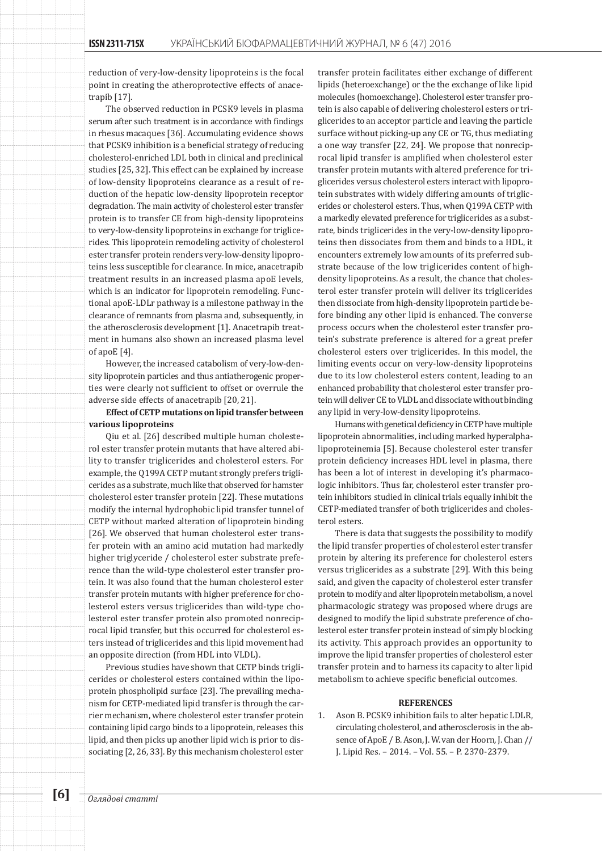reduction of very-low-density lipoproteins is the focal point in creating the atheroprotective effects of anacetrapib [17].

The observed reduction in PCSK9 levels in plasma serum after such treatment is in accordance with findings in rhesus macaques [36]. Accumulating evidence shows that PCSK9 inhibition is a beneficial strategy of reducing cholesterol-enriched LDL both in clinical and preclinical studies [25, 32]. This effect can be explained by increase of low-density lipoproteins clearance as a result of reduction of the hepatic low-density lipoprotein receptor degradation. The main activity of cholesterol ester transfer protein is to transfer CE from high-density lipoproteins to very-low-density lipoproteins in exchange for triglicerides. This lipoprotein remodeling activity of cholesterol ester transfer protein renders very-low-density lipoproteins less susceptible for clearance. In mice, anacetrapib treatment results in an increased plasma apoE levels, which is an indicator for lipoprotein remodeling. Functional apoE-LDLr pathway is a milestone pathway in the clearance of remnants from plasma and, subsequently, in the atherosclerosis development [1]. Anacetrapib treatment in humans also shown an increased plasma level of apoE [4].

However, the increased catabolism of very-low-density lipoprotein particles and thus antiatherogenic properties were clearly not sufficient to offset or overrule the adverse side effects of anacetrapib [20, 21].

# **Effect of CETP mutations on lipid transfer between various lipoproteins**

Qiu et al. [26] described multiple human cholesterol ester transfer protein mutants that have altered ability to transfer triglicerides and cholesterol esters. For example, the Q199A CETP mutant strongly prefers triglicerides as a substrate, much like that observed for hamster cholesterol ester transfer protein [22]. These mutations modify the internal hydrophobic lipid transfer tunnel of CETP without marked alteration of lipoprotein binding [26]. We observed that human cholesterol ester transfer protein with an amino acid mutation had markedly higher triglyceride / cholesterol ester substrate preference than the wild-type cholesterol ester transfer protein. It was also found that the human cholesterol ester transfer protein mutants with higher preference for cholesterol esters versus triglicerides than wild-type cholesterol ester transfer protein also promoted nonreciprocal lipid transfer, but this occurred for cholesterol esters instead of triglicerides and this lipid movement had an opposite direction (from HDL into VLDL).

Previous studies have shown that CETP binds triglicerides or cholesterol esters contained within the lipoprotein phospholipid surface [23]. The prevailing mechanism for CETP-mediated lipid transfer is through the carrier mechanism, where cholesterol ester transfer protein containing lipid cargo binds to a lipoprotein, releases this lipid, and then picks up another lipid wich is prior to dissociating [2, 26, 33]. By this mechanism cholesterol ester transfer protein facilitates either exchange of different lipids (heteroexchange) or the the exchange of like lipid molecules (homoexchange). Cholesterol ester transfer protein is also capable of delivering cholesterol esters or triglicerides to an acceptor particle and leaving the particle surface without picking-up any CE or TG, thus mediating a one way transfer [22, 24]. We propose that nonreciprocal lipid transfer is amplified when cholesterol ester transfer protein mutants with altered preference for triglicerides versus cholesterol esters interact with lipoprotein substrates with widely differing amounts of triglicerides or cholesterol esters. Thus, when Q199A CETP with a markedly elevated preference for triglicerides as a substrate, binds triglicerides in the very-low-density lipoproteins then dissociates from them and binds to a HDL, it encounters extremely low amounts of its preferred substrate because of the low triglicerides content of highdensity lipoproteins. As a result, the chance that cholesterol ester transfer protein will deliver its triglicerides then dissociate from high-density lipoprotein particle before binding any other lipid is enhanced. The converse process occurs when the cholesterol ester transfer protein's substrate preference is altered for a great prefer cholesterol esters over triglicerides. In this model, the limiting events occur on very-low-density lipoproteins due to its low cholesterol esters content, leading to an enhanced probability that cholesterol ester transfer protein will deliver CE to VLDL and dissociate without binding any lipid in very-low-density lipoproteins.

Humans with genetical deficiency in CETP have multiple lipoprotein abnormalities, including marked hyperalphalipoproteinemia [5]. Because cholesterol ester transfer protein deficiency increases HDL level in plasma, there has been a lot of interest in developing it's pharmacologic inhibitors. Thus far, cholesterol ester transfer protein inhibitors studied in clinical trials equally inhibit the CETP-mediated transfer of both triglicerides and cholesterol esters.

There is data that suggests the possibility to modify the lipid transfer properties of cholesterol ester transfer protein by altering its preference for cholesterol esters versus triglicerides as a substrate [29]. With this being said, and given the capacity of cholesterol ester transfer protein to modify and alter lipoprotein metabolism, a novel pharmacologic strategy was proposed where drugs are designed to modify the lipid substrate preference of cholesterol ester transfer protein instead of simply blocking its activity. This approach provides an opportunity to improve the lipid transfer properties of cholesterol ester transfer protein and to harness its capacity to alter lipid metabolism to achieve specific beneficial outcomes.

#### **REFERENCES**

1. Ason B. PCSK9 inhibition fails to alter hepatic LDLR, circulating cholesterol, and atherosclerosis in the absence of ApoE / B. Ason, J. W. van der Hoorn, J. Chan // J. Lipid Res. – 2014. – Vol. 55. – P. 2370-2379.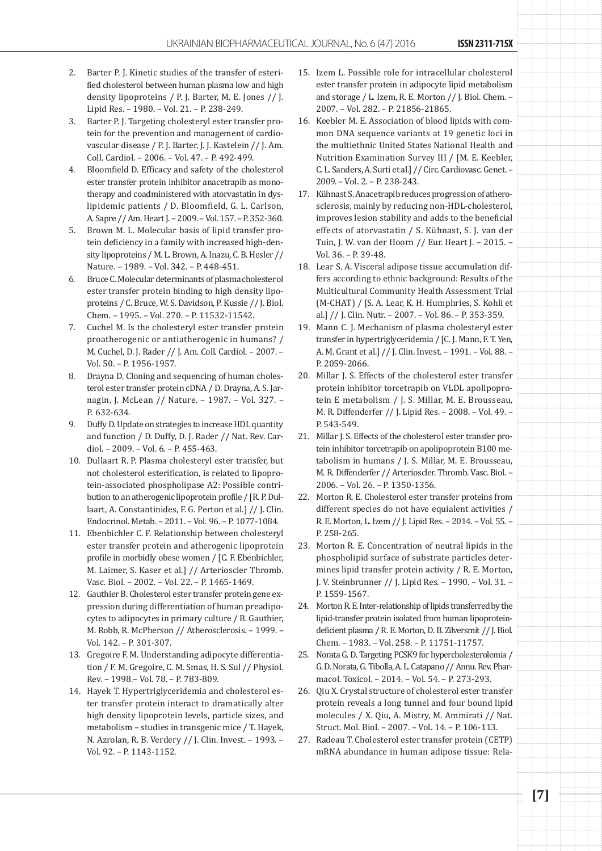- 2. Barter P. J. Kinetic studies of the transfer of esterified cholesterol between human plasma low and high density lipoproteins / P. J. Barter, M. E. Jones // J. Lipid Res. – 1980. – Vol. 21. – P. 238-249.
- 3. Barter P. J. Targeting cholesteryl ester transfer protein for the prevention and management of cardiovascular disease / P. J. Barter, J. J. Kastelein // J. Am. Coll. Cardiol. – 2006. – Vol. 47. – P. 492-499.
- 4. Bloomfield D. Efficacy and safety of the cholesterol ester transfer protein inhibitor anacetrapib as monotherapy and coadministered with atorvastatin in dyslipidemic patients / D. Bloomfield, G. L. Carlson, A. Sapre // Am. Heart J. – 2009. – Vol. 157. – P. 352-360.
- 5. Brown M. L. Molecular basis of lipid transfer protein deficiency in a family with increased high-density lipoproteins / M. L. Brown, A. Inazu, C. B. Hesler // Nature. – 1989. – Vol. 342. – P. 448-451.
- 6. Bruce C. Molecular determinants of plasma cholesterol ester transfer protein binding to high density lipoproteins / C. Bruce, W. S. Davidson, P. Kussie // J. Biol. Chem. – 1995. – Vol. 270. – P. 11532-11542.
- 7. Cuchel M. Is the cholesteryl ester transfer protein proatherogenic or antiatherogenic in humans? / M. Cuchel, D. J. Rader // J. Am. Coll. Cardiol. – 2007. – Vol. 50. – P. 1956-1957.
- 8. Drayna D. Cloning and sequencing of human cholesterol ester transfer protein cDNA / D. Drayna, A. S. Jarnagin, J. McLean // Nature. – 1987. – Vol. 327. – P. 632-634.
- 9. Duffy D. Update on strategies to increase HDL quantity and function / D. Duffy, D. J. Rader // Nat. Rev. Cardiol. – 2009. – Vol. 6. – P. 455-463.
- 10. Dullaart R. P. Plasma cholesteryl ester transfer, but not cholesterol esterification, is related to lipoprotein-associated phospholipase A2: Possible contribution to an atherogenic lipoprotein profile / [R. P. Dullaart, A. Constantinides, F. G. Perton et al.] // J. Clin. Endocrinol. Metab. – 2011. – Vol. 96. – P. 1077-1084.
- 11. Ebenbichler C. F. Relationship between cholesteryl ester transfer protein and atherogenic lipoprotein profile in morbidly obese women / [C. F. Ebenbichler, M. Laimer, S. Kaser et al.] // Arterioscler Thromb. Vasc. Biol. – 2002. – Vol. 22. – P. 1465-1469.
- 12. Gauthier B. Cholesterol ester transfer protein gene expression during differentiation of human preadipocytes to adipocytes in primary culture / B. Gauthier, M. Robb, R. McPherson // Atherosclerosis. – 1999. – Vol. 142. – P. 301-307.
- 13. Gregoire F. M. Understanding adipocyte differentiation / F. M. Gregoire, C. M. Smas, H. S. Sul // Physiol. Rev. – 1998.– Vol. 78. – P. 783-809.
- 14. Hayek T. Hypertriglyceridemia and cholesterol ester transfer protein interact to dramatically alter high density lipoprotein levels, particle sizes, and metabolism – studies in transgenic mice / T. Hayek, N. Azrolan, R. B. Verdery // J. Clin. Invest. – 1993. – Vol. 92. – P. 1143-1152.
- 15. Izem L. Possible role for intracellular cholesterol ester transfer protein in adipocyte lipid metabolism and storage / L. Izem, R. E. Morton // J. Biol. Chem. – 2007. – Vol. 282. – P. 21856-21865.
- 16. Keebler M. E. Association of blood lipids with common DNA sequence variants at 19 genetic loci in the multiethnic United States National Health and Nutrition Examination Survey III / [M. E. Keebler, C. L. Sanders, A. Surti et al.] // Circ. Cardiovasc. Genet. – 2009. – Vol. 2. – P. 238-243.
- 17. Kühnast S. Anacetrapib reduces progression of atherosclerosis, mainly by reducing non-HDL-cholesterol, improves lesion stability and adds to the beneficial effects of atorvastatin / S. Kühnast, S. J. van der Tuin, J. W. van der Hoorn // Eur. Heart J. – 2015. – Vol. 36. – P. 39-48.
- 18. Lear S. A. Visceral adipose tissue accumulation differs according to ethnic background: Results of the Multicultural Community Health Assessment Trial (M-CHAT) / [S. A. Lear, K. H. Humphries, S. Kohli et al.] // J. Clin. Nutr. – 2007. – Vol. 86. – P. 353-359.
- 19. Mann C. J. Mechanism of plasma cholesteryl ester transfer in hypertriglyceridemia / [C. J. Mann, F. T. Yen, A. M. Grant et al.] // J. Clin. Invest. – 1991. – Vol. 88. – P. 2059-2066.
- 20. Millar J. S. Effects of the cholesterol ester transfer protein inhibitor torcetrapib on VLDL apolipoprotein E metabolism / J. S. Millar, M. E. Brousseau, M. R. Diffenderfer // J. Lipid Res. – 2008. – Vol. 49. – P. 543-549.
- 21. Millar J. S. Effects of the cholesterol ester transfer protein inhibitor torcetrapib on apolipoprotein B100 metabolism in humans / J. S. Millar, M. E. Brousseau, M. R. Diffenderfer // Arterioscler. Thromb. Vasc. Biol. – 2006. – Vol. 26. – P. 1350-1356.
- 22. Morton R. E. Cholesterol ester transfer proteins from different species do not have equialent activities / R. E. Morton, L. Izem // J. Lipid Res. – 2014. – Vol. 55. – P. 258-265.
- 23. Morton R. E. Concentration of neutral lipids in the phospholipid surface of substrate particles determines lipid transfer protein activity / R. E. Morton, J. V. Steinbrunner // J. Lipid Res. – 1990. – Vol. 31. – P. 1559-1567.
- 24. Morton R. E. Inter-relationship of lipids transferred by the lipid-transfer protein isolated from human lipoproteindeficient plasma / R. E. Morton, D. B. Zilversmit // J. Biol. Chem. – 1983. – Vol. 258. – P. 11751-11757.
- 25. Norata G. D. Targeting PCSK9 for hypercholesterolemia / G. D. Norata, G. Tibolla, A. L. Catapano // Annu. Rev. Pharmacol. Toxicol. – 2014. – Vol. 54. – P. 273-293.
- 26. Qiu X. Crystal structure of cholesterol ester transfer protein reveals a long tunnel and four bound lipid molecules / X. Qiu, A. Mistry, M. Ammirati // Nat. Struct. Mol. Biol. – 2007. – Vol. 14. – P. 106-113.
- 27. Radeau T. Cholesterol ester transfer protein (CETP) mRNA abundance in human adipose tissue: Rela-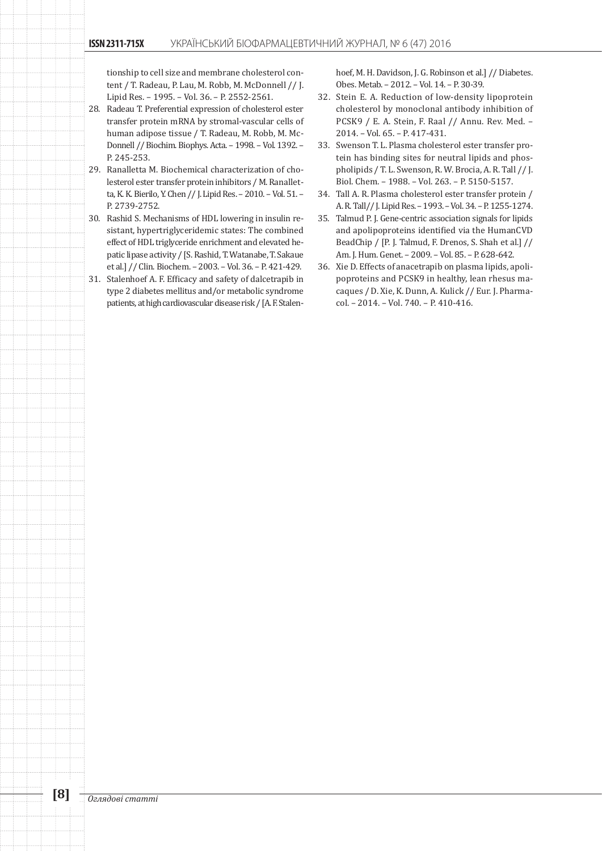tionship to cell size and membrane cholesterol content / T. Radeau, P. Lau, M. Robb, M. McDonnell // J. Lipid Res. – 1995. – Vol. 36. – P. 2552-2561.

- 28. Radeau T. Preferential expression of cholesterol ester transfer protein mRNA by stromal-vascular cells of human adipose tissue / T. Radeau, M. Robb, M. Mc-Donnell // Biochim. Biophys. Acta. – 1998. – Vol. 1392. – P. 245-253.
- 29. Ranalletta M. Biochemical characterization of cholesterol ester transfer protein inhibitors / M. Ranalletta, K. K. Bierilo, Y. Chen // J. Lipid Res. – 2010. – Vol. 51. – P. 2739-2752.
- 30. Rashid S. Mechanisms of HDL lowering in insulin resistant, hypertriglyceridemic states: The combined effect of HDL triglyceride enrichment and elevated hepatic lipase activity / [S. Rashid, T. Watanabe, T. Sakaue et al.] // Clin. Biochem. – 2003. – Vol. 36. – P. 421-429.
- 31. Stalenhoef A. F. Efficacy and safety of dalcetrapib in type 2 diabetes mellitus and/or metabolic syndrome patients, at high cardiovascular disease risk / [A. F. Stalen-

hoef, M. H. Davidson, J. G. Robinson et al.] // Diabetes. Obes. Metab. – 2012. – Vol. 14. – P. 30-39.

- 32. Stein E. A. Reduction of low-density lipoprotein cholesterol by monoclonal antibody inhibition of PCSK9 / E. A. Stein, F. Raal // Annu. Rev. Med. – 2014. – Vol. 65. – P. 417-431.
- 33. Swenson T. L. Plasma cholesterol ester transfer protein has binding sites for neutral lipids and phospholipids / T. L. Swenson, R. W. Brocia, A. R. Tall // J. Biol. Chem. – 1988. – Vol. 263. – P. 5150-5157.
- 34. Tall A. R. Plasma cholesterol ester transfer protein / A. R. Tall// J. Lipid Res. – 1993. – Vol. 34. – P. 1255-1274.
- 35. Talmud P. J. Gene-centric association signals for lipids and apolipoproteins identified via the HumanCVD BeadChip / [P. J. Talmud, F. Drenos, S. Shah et al.] // Am. J. Hum. Genet. – 2009. – Vol. 85. – P. 628-642.
- 36. Xie D. Effects of anacetrapib on plasma lipids, apolipoproteins and PCSK9 in healthy, lean rhesus macaques / D. Xie, K. Dunn, A. Kulick // Eur. J. Pharmacol. – 2014. – Vol. 740. – P. 410-416.